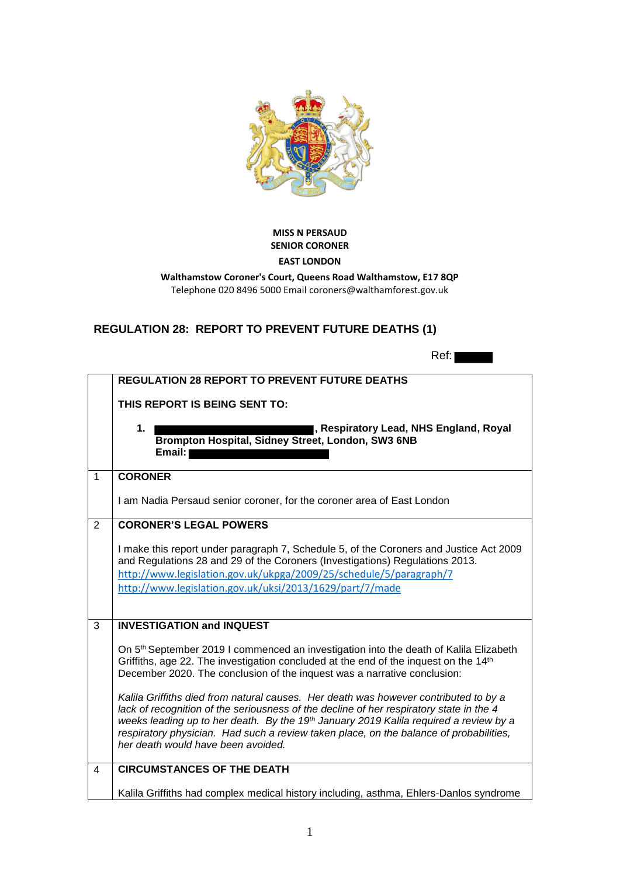

## **MISS N PERSAUD SENIOR CORONER**

## **EAST LONDON**

**Walthamstow Coroner's Court, Queens Road Walthamstow, E17 8QP** Telephone 020 8496 5000 Email coroners@walthamforest.gov.uk

## **REGULATION 28: REPORT TO PREVENT FUTURE DEATHS (1)**

|                | Ref:                                                                                                                                                                                                                                                                                                                                                                                                                 |
|----------------|----------------------------------------------------------------------------------------------------------------------------------------------------------------------------------------------------------------------------------------------------------------------------------------------------------------------------------------------------------------------------------------------------------------------|
|                | <b>REGULATION 28 REPORT TO PREVENT FUTURE DEATHS</b>                                                                                                                                                                                                                                                                                                                                                                 |
|                | THIS REPORT IS BEING SENT TO:                                                                                                                                                                                                                                                                                                                                                                                        |
|                | I, Respiratory Lead, NHS England, Royal<br>1.<br>Brompton Hospital, Sidney Street, London, SW3 6NB<br>Email:                                                                                                                                                                                                                                                                                                         |
| $\mathbf{1}$   | <b>CORONER</b>                                                                                                                                                                                                                                                                                                                                                                                                       |
|                | I am Nadia Persaud senior coroner, for the coroner area of East London                                                                                                                                                                                                                                                                                                                                               |
| 2              | <b>CORONER'S LEGAL POWERS</b>                                                                                                                                                                                                                                                                                                                                                                                        |
|                | I make this report under paragraph 7, Schedule 5, of the Coroners and Justice Act 2009<br>and Regulations 28 and 29 of the Coroners (Investigations) Regulations 2013.<br>http://www.legislation.gov.uk/ukpga/2009/25/schedule/5/paragraph/7<br>http://www.legislation.gov.uk/uksi/2013/1629/part/7/made                                                                                                             |
| 3              | <b>INVESTIGATION and INQUEST</b>                                                                                                                                                                                                                                                                                                                                                                                     |
|                | On 5 <sup>th</sup> September 2019 I commenced an investigation into the death of Kalila Elizabeth<br>Griffiths, age 22. The investigation concluded at the end of the inquest on the 14th<br>December 2020. The conclusion of the inquest was a narrative conclusion:                                                                                                                                                |
|                | Kalila Griffiths died from natural causes. Her death was however contributed to by a<br>lack of recognition of the seriousness of the decline of her respiratory state in the 4<br>weeks leading up to her death. By the 19 <sup>th</sup> January 2019 Kalila required a review by a<br>respiratory physician. Had such a review taken place, on the balance of probabilities,<br>her death would have been avoided. |
| $\overline{4}$ | <b>CIRCUMSTANCES OF THE DEATH</b>                                                                                                                                                                                                                                                                                                                                                                                    |
|                | Kalila Griffiths had complex medical history including, asthma, Ehlers-Danlos syndrome                                                                                                                                                                                                                                                                                                                               |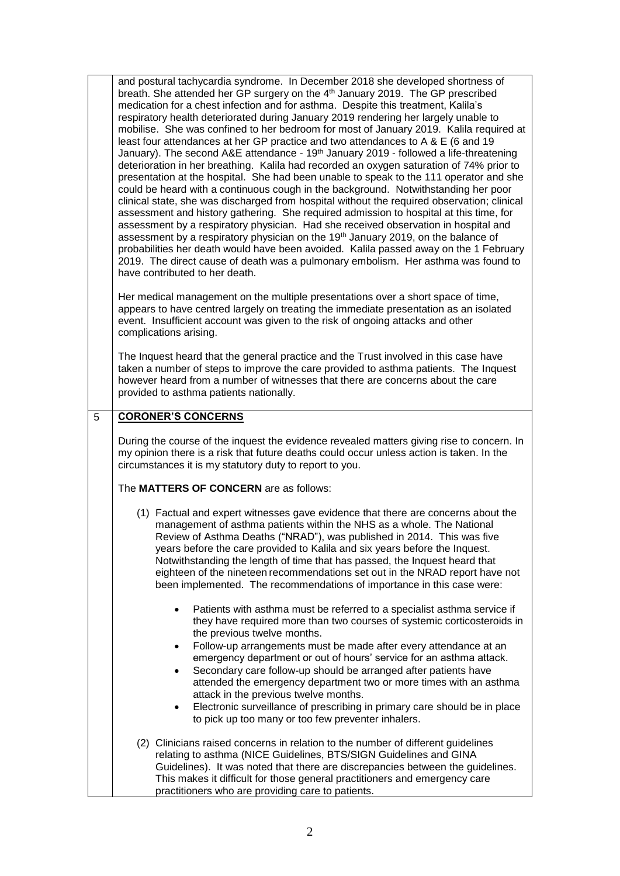and postural tachycardia syndrome. In December 2018 she developed shortness of breath. She attended her GP surgery on the 4<sup>th</sup> January 2019. The GP prescribed medication for a chest infection and for asthma. Despite this treatment, Kalila's respiratory health deteriorated during January 2019 rendering her largely unable to mobilise. She was confined to her bedroom for most of January 2019. Kalila required at least four attendances at her GP practice and two attendances to A & E (6 and 19 January). The second A&E attendance - 19<sup>th</sup> January 2019 - followed a life-threatening deterioration in her breathing. Kalila had recorded an oxygen saturation of 74% prior to presentation at the hospital. She had been unable to speak to the 111 operator and she could be heard with a continuous cough in the background. Notwithstanding her poor clinical state, she was discharged from hospital without the required observation; clinical assessment and history gathering. She required admission to hospital at this time, for assessment by a respiratory physician. Had she received observation in hospital and assessment by a respiratory physician on the  $19<sup>th</sup>$  January 2019, on the balance of probabilities her death would have been avoided. Kalila passed away on the 1 February 2019. The direct cause of death was a pulmonary embolism. Her asthma was found to have contributed to her death.

Her medical management on the multiple presentations over a short space of time, appears to have centred largely on treating the immediate presentation as an isolated event. Insufficient account was given to the risk of ongoing attacks and other complications arising.

The Inquest heard that the general practice and the Trust involved in this case have taken a number of steps to improve the care provided to asthma patients. The Inquest however heard from a number of witnesses that there are concerns about the care provided to asthma patients nationally.

## 5 **CORONER'S CONCERNS**

During the course of the inquest the evidence revealed matters giving rise to concern. In my opinion there is a risk that future deaths could occur unless action is taken. In the circumstances it is my statutory duty to report to you.

The **MATTERS OF CONCERN** are as follows:

- (1) Factual and expert witnesses gave evidence that there are concerns about the management of asthma patients within the NHS as a whole. The National Review of Asthma Deaths ("NRAD"), was published in 2014. This was five years before the care provided to Kalila and six years before the Inquest. Notwithstanding the length of time that has passed, the Inquest heard that eighteen of the nineteen recommendations set out in the NRAD report have not been implemented. The recommendations of importance in this case were:
	- Patients with asthma must be referred to a specialist asthma service if they have required more than two courses of systemic corticosteroids in the previous twelve months.
	- Follow-up arrangements must be made after every attendance at an emergency department or out of hours' service for an asthma attack.
	- Secondary care follow-up should be arranged after patients have attended the emergency department two or more times with an asthma attack in the previous twelve months.
	- Electronic surveillance of prescribing in primary care should be in place to pick up too many or too few preventer inhalers.
- (2) Clinicians raised concerns in relation to the number of different guidelines relating to asthma (NICE Guidelines, BTS/SIGN Guidelines and GINA Guidelines). It was noted that there are discrepancies between the guidelines. This makes it difficult for those general practitioners and emergency care practitioners who are providing care to patients.